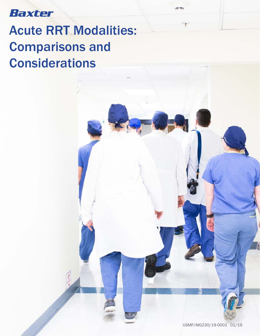#### Baxter

# Acute RRT Modalities: Comparisons and Considerations

 $\mathcal{F} = \mathcal{F}$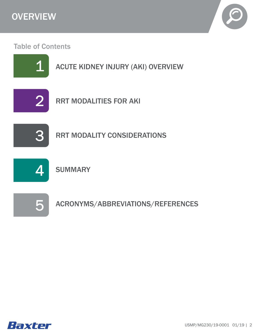



#### Table of Contents



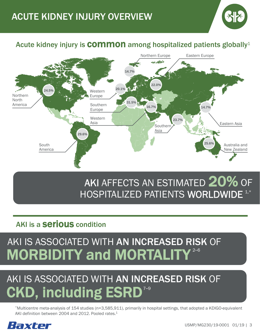

#### Acute kidney injury is **COMMON** among hospitalized patients globally<sup>1</sup>



# AKI AFFECTS AN ESTIMATED  $20\%$  of HOSPITALIZED PATIENTS WORLDWIDE<sup>1,\*</sup>

#### AKI is a **Serious** condition

# AKI IS ASSOCIATED WITH AN INCREASED RISK OF MORBIDITY and MORTALITY<sup>2-6</sup>

# AKI IS ASSOCIATED WITH AN INCREASED RISK OF CKD, including ESRD<sup>7-9</sup>

\*Multicentre meta-analysis of 154 studies (n=3,585,911), primarily in hospital settings, that adopted a KDIGO-equivalent AKI definition between 2004 and 2012. Pooled rates.<sup>1</sup>

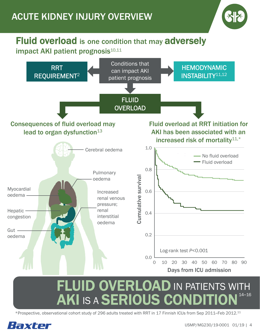### ACUTE KIDNEY INJURY OVERVIEW

#### Fluid overload is one condition that may adversely impact AKI patient prognosis<sup>10,11</sup>



#### FLUID OVERLOAD IN PATIENTS WITH AKI IS A SERIOUS CONDITION 14–16

\*Prospective, observational cohort study of 296 adults treated with RRT in 17 Finnish ICUs from Sep 2011–Feb 2012.11

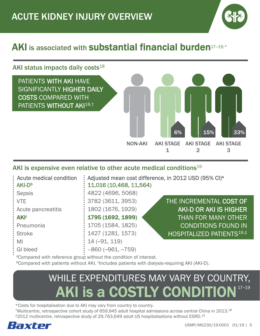

### AKI is associated with **substantial financial burden**<sup>17-19,\*</sup>

#### AKI status impacts daily costs $18$



#### AKI is expensive even relative to other acute medical conditions<sup>19</sup>

| <b>Acute medical condition</b><br>AKI-D <sup>b</sup> | : Adjusted mean cost difference, in 2012 USD (95% CI) <sup>a</sup><br>11,016 (10,468, 11,564) |                                        |  |
|------------------------------------------------------|-----------------------------------------------------------------------------------------------|----------------------------------------|--|
| <b>Sepsis</b>                                        | 4822 (4696, 5068)                                                                             |                                        |  |
| <b>VTE</b>                                           | 3782 (3611, 3953)                                                                             | THE INCREMENTAL COST OF                |  |
| Acute pancreatitis                                   | 1802 (1676, 1929)                                                                             | <b>AKI-D OR AKI IS HIGHER</b>          |  |
| <b>AKI<sup>c</sup></b>                               | 1795 (1692, 1899)                                                                             | <b>THAN FOR MANY OTHER</b>             |  |
| Pneumonia                                            | 1705 (1584, 1825)                                                                             | <b>CONDITIONS FOUND IN</b>             |  |
| <b>Stroke</b>                                        | 1427 (1281, 1573)                                                                             | HOSPITALIZED PATIENTS <sup>19,‡'</sup> |  |
| MI                                                   | $14 (-91, 119)$                                                                               |                                        |  |
| <b>GI</b> bleed                                      | $-860 (-961, -759)$                                                                           |                                        |  |

<sup>a</sup>Compared with reference group without the condition of interest.

**Compared with patients without AKI.** Clncludes patients with dialysis-requiring AKI (AKI-D).

# WHILE EXPENDITURES MAY VARY BY COUNTRY, AKI is a COSTLY CONDITION

\*Costs for hospitalisation due to AKI may vary from country to country. †Multicentre, retrospective cohort study of 659,945 adult hospital admissions across central China in 2013.18 ‡2012 multicentre, retrospective study of 29,763,649 adult US hospitalisations without ESRD.19

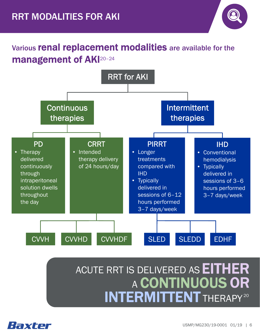

#### Various renal replacement modalities are available for the management of AKI20-24



### ACUTE RRT IS DELIVERED AS **EITHER** A CONTINUOUS OR INTERMITTENT THERAPY 20

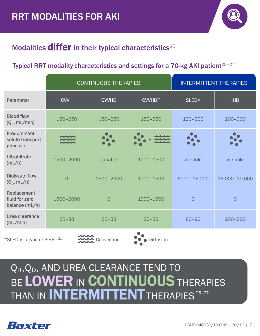

#### Modalities  $d$ iffer in their typical characteristics<sup>25</sup>

#### Typical RRT modality characteristics and settings for a 70-kg AKI patient<sup> $25-27$ </sup>

|                                                 | <b>CONTINUOUS THERAPIES</b> |                | <b>INTERMITTENT THERAPIES</b> |             |                |
|-------------------------------------------------|-----------------------------|----------------|-------------------------------|-------------|----------------|
| Parameter                                       | <b>CVVH</b>                 | <b>CVVHD</b>   | <b>CVVHDF</b>                 | SLED*       | <b>IHD</b>     |
| <b>Blood flow</b><br>$(Q_B, mL/min)$            | $150 - 250$                 | $150 - 250$    | $150 - 250$                   | $100 - 300$ | $200 - 300$    |
| Predominant<br>solute transport<br>principle    |                             |                |                               |             |                |
| <b>Ultrafiltrate</b><br>(mL/h)                  | 1500-2000                   | variable       | 1000-1500                     | variable    | variable       |
| <b>Dialysate flow</b><br>$(Q_D, mL/h)$          | $\overline{O}$              | 1500-2000      | 1000-1500                     | 6000-18,000 | 18,000-30,000  |
| Replacement<br>fluid for zero<br>balance (mL/h) | 1500-2000                   | $\overline{O}$ | $1000 - 1500$                 | 0           | $\overline{O}$ |
| Urea clearance<br>(mL/min)                      | $25 - 33$                   | $25 - 33$      | $25 - 33$                     | $80 - 90$   | $200 - 500$    |

\*SLED is a type of PIRRT.21





# BE LOWER IN CONTINUOUS THERAPIES THAN IN INTERMITTENT THERAPIES<sup>25-27</sup> Q<sub>B</sub>,Q<sub>D</sub>, AND UREA CLEARANCE TEND TO

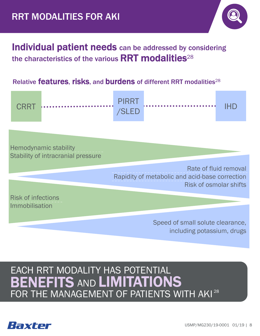

#### Individual patient needs can be addressed by considering the characteristics of the various  $\textsf{RRT}$  modalities<sup>28</sup>

#### Relative **features, risks, and burdens** of different RRT modalities<sup>28</sup>



Hemodynamic stability Stability of intracranial pressure

> Rate of fluid removal Rapidity of metabolic and acid-base correction Risk of osmolar shifts

Risk of infections Immobilisation

> Speed of small solute clearance, including potassium, drugs

### EACH RRT MODALITY HAS POTENTIAL FOR THE MANAGEMENT OF PATIENTS WITH AKI<sup>28</sup> BENEFITS AND LIMITATIONS



21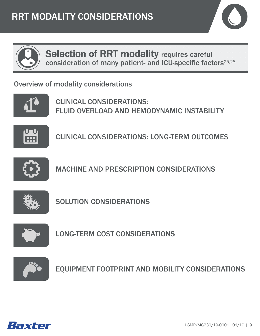



Selection of RRT modality requires careful consideration of many patient- and ICU-specific factors25,28

Overview of modality considerations



CLINICAL CONSIDERATIONS: FLUID OVERLOAD AND HEMODYNAMIC INSTABILITY



CLINICAL CONSIDERATIONS: LONG-TERM OUTCOMES



MACHINE AND PRESCRIPTION CONSIDERATIONS



SOLUTION CONSIDERATIONS



LONG-TERM COST CONSIDERATIONS



EQUIPMENT FOOTPRINT AND MOBILITY CONSIDERATIONS

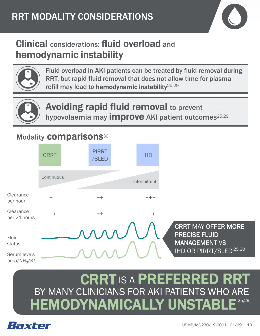

### Clinical considerations: fluid overload and hemodynamic instability



Fluid overload in AKI patients can be treated by fluid removal during RRT, but rapid fluid removal that does not allow time for plasma refill may lead to hemodynamic instability<sup>25,29</sup>



Avoiding rapid fluid removal to prevent hypovolaemia may *improve* AKI patient outcomes<sup>25,29</sup>

#### Modality **comparisons**<sup>30</sup>



#### CRRT IS A PREFERRED RRT BY MANY CLINICIANS FOR AKI PATIENTS WHO ARE **HEMODYNAMICALLY UNSTABI** 25,29

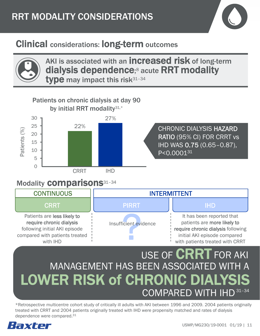

### Clinical considerations: long-term outcomes



AKI is associated with an **increased risk** of long-term dialysis dependence; <sup>8</sup> acute RRT modality type may impact this risk $31-34$ 



#### USE OF **CRRT** FOR AKI **LOWER RISK of CHRONIC** MANAGEMENT HAS BEEN ASSOCIATED WITH A COMPARED WITH IHD 31–34

\*Retrospective multicentre cohort study of critically ill adults with AKI between 1996 and 2009. 2004 patients originally treated with CRRT and 2004 patients originally treated with IHD were propensity matched and rates of dialysis dependence were compared.31

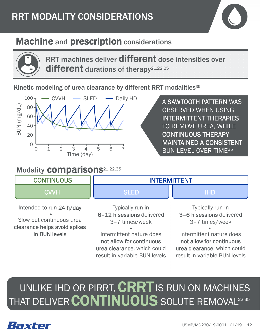

### **Machine and prescription considerations**



RRT machines deliver different dose intensities over different durations of therapy<sup>21,22,25</sup>

Kinetic modeling of urea clearance by different RRT modalities<sup>35</sup>



#### Modality **comparisons**<sup>21,22,35</sup>

A SAWTOOTH PATTERN WAS OBSERVED WHEN USING INTERMITTENT THERAPIES TO REMOVE UREA, WHILE CONTINUOUS THERAPY MAINTAINED A CONSISTENT BUN LEVEL OVER TIME35

#### Typically run in 6–12 h sessions delivered 3–7 times/week Intermittent nature does not allow for continuous urea clearance, which could result in variable BUN levels Typically run in 3–6 h sessions delivered 3–7 times/week Intermittent nature does not allow for continuous urea clearance, which could result in variable BUN levels Intended to run 24 h/day Slow but continuous urea clearance helps avoid spikes in BUN levels CVVH SLED IHD CONTINUOUS INTERMITTENT

#### UNLIKE IHD OR PIRRT,  $\text{CRRT}$  is run on Machines 22,35 THAT DELIVER CONTINUOUS SOLUTE REMOVAL

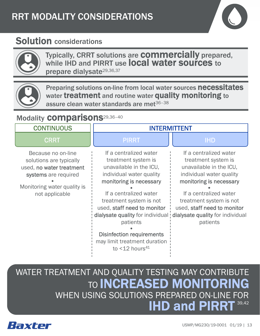

#### Solution considerations



Typically, CRRT solutions are **COMMErcially** prepared, while IHD and PIRRT use **local water sources** to prepare dialysate<sup>29,36,37</sup>



Preparing solutions on-line from local water sources necessitates water treatment and routine water quality monitoring to assure clean water standards are met $36-38$ 

#### Modality **COMparisons**29,36-40

| <b>CONTINUOUS</b>                                                                                                                                  | <b>INTERMITTENT</b>                                                                                                                                                                                                                                                                                                                                                        |                                                                                                                                                                                                                                                                     |  |
|----------------------------------------------------------------------------------------------------------------------------------------------------|----------------------------------------------------------------------------------------------------------------------------------------------------------------------------------------------------------------------------------------------------------------------------------------------------------------------------------------------------------------------------|---------------------------------------------------------------------------------------------------------------------------------------------------------------------------------------------------------------------------------------------------------------------|--|
| <b>CRRT</b>                                                                                                                                        | <b>PIRRT</b>                                                                                                                                                                                                                                                                                                                                                               | <b>IHD</b>                                                                                                                                                                                                                                                          |  |
| Because no on-line<br>solutions are typically<br>used, no water treatment<br>systems are required<br>Monitoring water quality is<br>not applicable | If a centralized water<br>treatment system is<br>unavailable in the ICU,<br>individual water quality<br>monitoring is necessary<br>If a centralized water<br>treatment system is not<br>used, staff need to monitor<br>dialysate quality for individual !<br>patients<br><b>Disinfection requirements</b><br>may limit treatment duration<br>to $<$ 12 hours <sup>41</sup> | If a centralized water<br>treatment system is<br>unavailable in the ICU,<br>individual water quality<br>monitoring is necessary<br>If a centralized water<br>treatment system is not<br>used, staff need to monitor<br>dialysate quality for individual<br>patients |  |

WHEN USING SOLUTIONS PREPARED ON-LINE FOR WATER TREATMENT AND QUALITY TESTING MAY CONTRIBUTE TO **INCREASED MONITORING** IHD and PIRRT 39,42

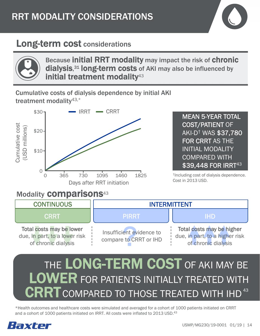

#### Long-term cost considerations



Because initial RRT modality may impact the risk of chronic dialysis,<sup>31</sup> long-term costs of AKI may also be influenced by initial treatment modality<sup>43</sup>

Cumulative costs of dialysis dependence by initial AKI treatment modality<sup>43,\*</sup>



MEAN 5-YEAR TOTAL COST/PATIENT OF AKI-D† WAS \$37,780 FOR CRRT AS THE INITIAL MODALITY COMPARED WITH \$39,448 FOR IRRT<sup>43</sup>

†Including cost of dialysis dependence. Cost in 2013 USD.

#### Modality **COMparisons**<sup>43</sup>

| <b>CONTINUOUS</b>                                                                | <b>INTERMITTENT</b>                                |                                                                                    |  |
|----------------------------------------------------------------------------------|----------------------------------------------------|------------------------------------------------------------------------------------|--|
| CRRT                                                                             | <b>PIRRT</b>                                       | <b>IHD</b>                                                                         |  |
| Total costs may be lower<br>due, in part, to a lower risk<br>of chronic dialysis | Insufficient evidence to<br>compare to CRRT or IHD | Total costs may be higher<br>due, in part, to a higher risk<br>of chronic dialysis |  |

# THE LONG-TERM COST OF AKI MAY BE LOWER FOR PATIENTS INITIALLY TREATED WITH CRRT COMPARED TO THOSE TREATED WITH IHD<sup>43</sup>

\*Health outcomes and healthcare costs were simulated and averaged for a cohort of 1000 patients initiated on CRRT and a cohort of 1000 patients initiated on IRRT. All costs were inflated to 2013 USD.<sup>43</sup>

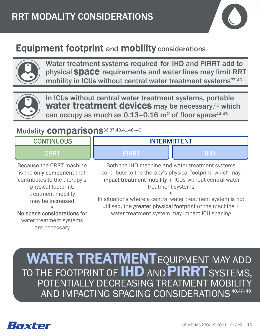

### Equipment footprint and mobility considerations



Water treatment systems required for IHD and PIRRT add to physical Space requirements and water lines may limit RRT mobility in ICUs without central water treatment systems<sup>37,40</sup>



In ICUs without central water treatment systems, portable water treatment devices may be necessary,<sup>40</sup> which can occupy as much as  $0.13-0.16$  m<sup>2</sup> of floor space<sup>44,45</sup>

#### Modality **comparisons**36,37,40,41,46-49

#### CRRT PIRRT III DE PIRRT IN 1990 **CONTINUOUS** Both the IHD machine and water treatment systems contribute to the therapy's physical footprint, which may impact treatment mobility in ICUs without central water treatment systems In situations where a central water treatment system is not utilised, the greater physical footprint of the machine + water treatment system may impact ICU spacing Because the CRRT machine is the only component that contributes to the therapy's physical footprint, treatment mobility may be increased No space considerations for water treatment systems are necessary INTERMITTENT

#### EQUIPMENT MAY ADD TO THE FOOTPRINT OF WATER TREATMENT **IHD AND PIRRTS** POTENTIALLY DECREASING TREATMENT MOBILITY AND IMPACTING SPACING CONSIDERATIONS AND **PIRR I** SYSTEMS,

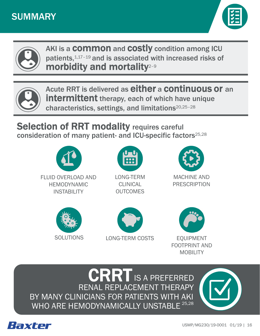





AKI is a **common** and **costly** condition among ICU patients, 1,17-19 and is associated with increased risks of morbidity and mortality<sup>2-9</sup>



Acute RRT is delivered as either a continuous or an **intermittent** therapy, each of which have unique characteristics, settings, and limitations20,25–28

**Selection of RRT modality requires careful** consideration of many patient- and ICU-specific factors25,28





LONG-TERM CLINICAL **OUTCOMES** 



MACHINE AND PRESCRIPTION







BY MANY CLINICIANS FOR PATIENTS WITH AKI RENAL REPLACEMENT THERAPY CRRT IS A PREFERRED WHO ARE HEMODYNAMICALLY UNSTABL